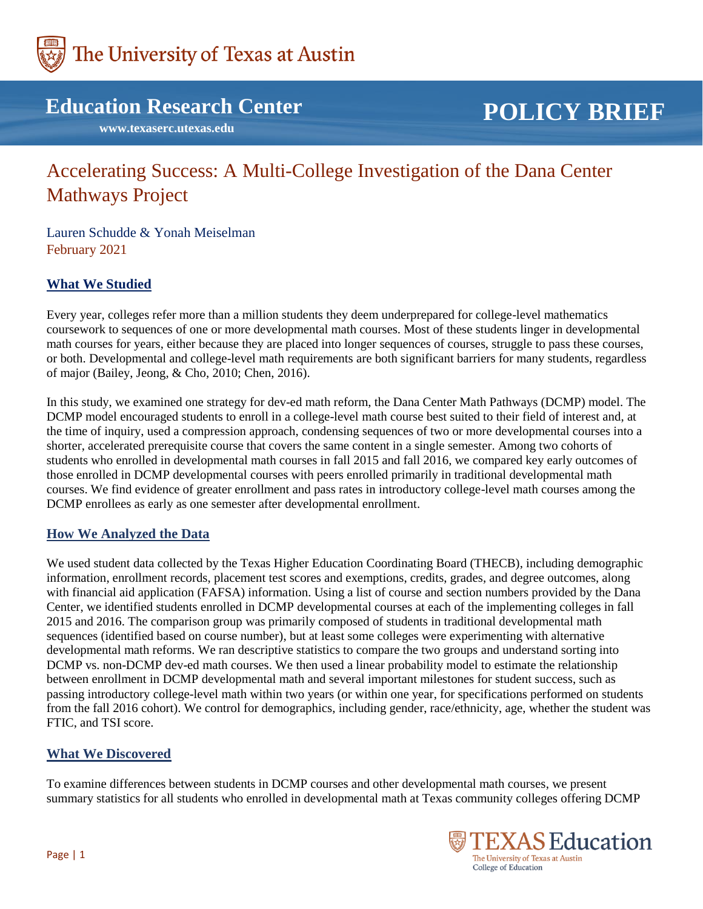

# **Education Research Center**

 **www.texaserc.utexas.edu**

# **POLICY BRIEF**

# Accelerating Success: A Multi-College Investigation of the Dana Center Mathways Project

Lauren Schudde & Yonah Meiselman February 2021

# **What We Studied**

Every year, colleges refer more than a million students they deem underprepared for college-level mathematics coursework to sequences of one or more developmental math courses. Most of these students linger in developmental math courses for years, either because they are placed into longer sequences of courses, struggle to pass these courses, or both. Developmental and college-level math requirements are both significant barriers for many students, regardless of major (Bailey, Jeong, & Cho, 2010; Chen, 2016).

In this study, we examined one strategy for dev-ed math reform, the Dana Center Math Pathways (DCMP) model. The DCMP model encouraged students to enroll in a college-level math course best suited to their field of interest and, at the time of inquiry, used a compression approach, condensing sequences of two or more developmental courses into a shorter, accelerated prerequisite course that covers the same content in a single semester. Among two cohorts of students who enrolled in developmental math courses in fall 2015 and fall 2016, we compared key early outcomes of those enrolled in DCMP developmental courses with peers enrolled primarily in traditional developmental math courses. We find evidence of greater enrollment and pass rates in introductory college-level math courses among the DCMP enrollees as early as one semester after developmental enrollment.

#### **How We Analyzed the Data**

We used student data collected by the Texas Higher Education Coordinating Board (THECB), including demographic information, enrollment records, placement test scores and exemptions, credits, grades, and degree outcomes, along with financial aid application (FAFSA) information. Using a list of course and section numbers provided by the Dana Center, we identified students enrolled in DCMP developmental courses at each of the implementing colleges in fall 2015 and 2016. The comparison group was primarily composed of students in traditional developmental math sequences (identified based on course number), but at least some colleges were experimenting with alternative developmental math reforms. We ran descriptive statistics to compare the two groups and understand sorting into DCMP vs. non-DCMP dev-ed math courses. We then used a linear probability model to estimate the relationship between enrollment in DCMP developmental math and several important milestones for student success, such as passing introductory college-level math within two years (or within one year, for specifications performed on students from the fall 2016 cohort). We control for demographics, including gender, race/ethnicity, age, whether the student was FTIC, and TSI score.

# **What We Discovered**

To examine differences between students in DCMP courses and other developmental math courses, we present summary statistics for all students who enrolled in developmental math at Texas community colleges offering DCMP

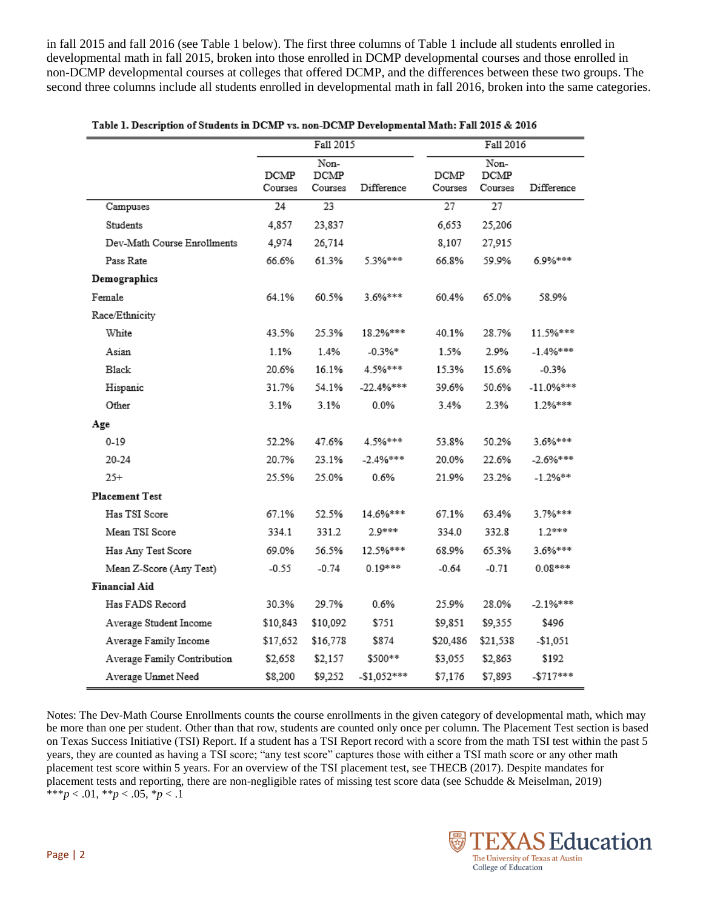in fall 2015 and fall 2016 (see Table 1 below). The first three columns of Table 1 include all students enrolled in developmental math in fall 2015, broken into those enrolled in DCMP developmental courses and those enrolled in non-DCMP developmental courses at colleges that offered DCMP, and the differences between these two groups. The second three columns include all students enrolled in developmental math in fall 2016, broken into the same categories.

|                             | Fall 2015       |                         | Fall 2016    |                 |                         |              |
|-----------------------------|-----------------|-------------------------|--------------|-----------------|-------------------------|--------------|
|                             | DCMP<br>Courses | Non-<br>DCMP<br>Courses | Difference   | DCMP<br>Courses | Non-<br>DCMP<br>Courses | Difference   |
| Campuses                    | 24              | 23                      |              | 27              | $\overline{27}$         |              |
| Students                    | 4,857           | 23,837                  |              | 6,653           | 25,206                  |              |
| Dev-Math Course Enrollments | 4.974           | 26,714                  |              | 8,107           | 27,915                  |              |
| Pass Rate                   | 66.6%           | 61.3%                   | 5.3%***      | 66.8%           | 59.9%                   | 6.9%***      |
| Demographics                |                 |                         |              |                 |                         |              |
| Female                      | 64.1%           | 60.5%                   | 3.6%***      | 60.4%           | 65.0%                   | 58.9%        |
| Race/Ethnicity              |                 |                         |              |                 |                         |              |
| White                       | 43.5%           | 25.3%                   | 18.2%***     | 40.1%           | 28.7%                   | 11.5%***     |
| Asian                       | 1.1%            | 1.4%                    | $-0.3\%*$    | 1.5%            | 2.9%                    | $-1.4\%***$  |
| Black                       | 20.6%           | 16.1%                   | 4.5%***      | 15.3%           | 15.6%                   | $-0.3%$      |
| Hispanic                    | 31.7%           | 54.1%                   | $-22.4%***$  | 39.6%           | 50.6%                   | $-11.0\%***$ |
| Other                       | 3.1%            | 3.1%                    | $0.0\%$      | 3.4%            | 2.3%                    | 1.2%***      |
| Age                         |                 |                         |              |                 |                         |              |
| $0 - 19$                    | 52.2%           | 47.6%                   | 4.5%***      | 53.8%           | 50.2%                   | 3.6%***      |
| 20-24                       | 20.7%           | 23.1%                   | $-2.4%***$   | 20.0%           | 22.6%                   | $-2.6\%***$  |
| $25+$                       | 25.5%           | 25.0%                   | 0.6%         | 21.9%           | 23.2%                   | $-1.2%$ **   |
| <b>Placement Test</b>       |                 |                         |              |                 |                         |              |
| Has TSI Score               | 67.1%           | 52.5%                   | 14.6%***     | 67.1%           | 63.4%                   | 3.7%***      |
| Mean TSI Score              | 334.1           | 331.2                   | $2.9***$     | 334.0           | 332.8                   | $1.2***$     |
| Has Any Test Score          | 69.0%           | 56.5%                   | 12.5%***     | 68.9%           | 65.3%                   | 3.6%***      |
| Mean Z-Score (Any Test)     | $-0.55$         | $-0.74$                 | $0.19***$    | $-0.64$         | $-0.71$                 | $0.08***$    |
| <b>Financial Aid</b>        |                 |                         |              |                 |                         |              |
| Has FADS Record             | 30.3%           | 29.7%                   | 0.6%         | 25.9%           | 28.0%                   | $-2.1%***$   |
| Average Student Income      | \$10,843        | \$10,092                | \$751        | \$9,851         | \$9,355                 | \$496        |
| Average Family Income       | \$17,652        | \$16,778                | \$874        | \$20,486        | \$21,538                | $-$1,051$    |
| Average Family Contribution | \$2,658         | \$2,157                 | \$500**      | \$3,055         | \$2,863                 | \$192        |
| Average Unmet Need          | \$8,200         | \$9,252                 | $-$1,052***$ | \$7,176         | \$7,893                 | $-$ \$717*** |

|  | 1016 ]. Description of Students in DCMP vs. non-DCMP Developmental Math: Fall 2015 & 2016 |  |
|--|-------------------------------------------------------------------------------------------|--|
|  |                                                                                           |  |
|  |                                                                                           |  |

Notes: The Dev-Math Course Enrollments counts the course enrollments in the given category of developmental math, which may be more than one per student. Other than that row, students are counted only once per column. The Placement Test section is based on Texas Success Initiative (TSI) Report. If a student has a TSI Report record with a score from the math TSI test within the past 5 years, they are counted as having a TSI score; "any test score" captures those with either a TSI math score or any other math placement test score within 5 years. For an overview of the TSI placement test, see THECB (2017). Despite mandates for placement tests and reporting, there are non-negligible rates of missing test score data (see Schudde & Meiselman, 2019) \*\*\**p* < .01, \*\**p* < .05, \**p* < .1

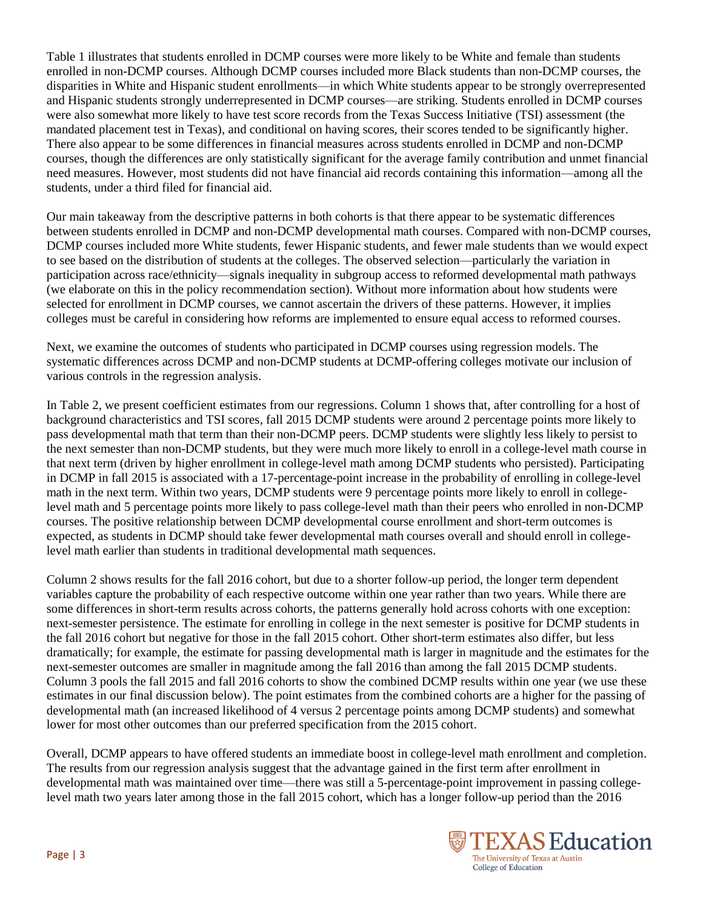Table 1 illustrates that students enrolled in DCMP courses were more likely to be White and female than students enrolled in non-DCMP courses. Although DCMP courses included more Black students than non-DCMP courses, the disparities in White and Hispanic student enrollments—in which White students appear to be strongly overrepresented and Hispanic students strongly underrepresented in DCMP courses—are striking. Students enrolled in DCMP courses were also somewhat more likely to have test score records from the Texas Success Initiative (TSI) assessment (the mandated placement test in Texas), and conditional on having scores, their scores tended to be significantly higher. There also appear to be some differences in financial measures across students enrolled in DCMP and non-DCMP courses, though the differences are only statistically significant for the average family contribution and unmet financial need measures. However, most students did not have financial aid records containing this information—among all the students, under a third filed for financial aid.

Our main takeaway from the descriptive patterns in both cohorts is that there appear to be systematic differences between students enrolled in DCMP and non-DCMP developmental math courses. Compared with non-DCMP courses, DCMP courses included more White students, fewer Hispanic students, and fewer male students than we would expect to see based on the distribution of students at the colleges. The observed selection—particularly the variation in participation across race/ethnicity—signals inequality in subgroup access to reformed developmental math pathways (we elaborate on this in the policy recommendation section). Without more information about how students were selected for enrollment in DCMP courses, we cannot ascertain the drivers of these patterns. However, it implies colleges must be careful in considering how reforms are implemented to ensure equal access to reformed courses.

Next, we examine the outcomes of students who participated in DCMP courses using regression models. The systematic differences across DCMP and non-DCMP students at DCMP-offering colleges motivate our inclusion of various controls in the regression analysis.

In Table 2, we present coefficient estimates from our regressions. Column 1 shows that, after controlling for a host of background characteristics and TSI scores, fall 2015 DCMP students were around 2 percentage points more likely to pass developmental math that term than their non-DCMP peers. DCMP students were slightly less likely to persist to the next semester than non-DCMP students, but they were much more likely to enroll in a college-level math course in that next term (driven by higher enrollment in college-level math among DCMP students who persisted). Participating in DCMP in fall 2015 is associated with a 17-percentage-point increase in the probability of enrolling in college-level math in the next term. Within two years, DCMP students were 9 percentage points more likely to enroll in collegelevel math and 5 percentage points more likely to pass college-level math than their peers who enrolled in non-DCMP courses. The positive relationship between DCMP developmental course enrollment and short-term outcomes is expected, as students in DCMP should take fewer developmental math courses overall and should enroll in collegelevel math earlier than students in traditional developmental math sequences.

Column 2 shows results for the fall 2016 cohort, but due to a shorter follow-up period, the longer term dependent variables capture the probability of each respective outcome within one year rather than two years. While there are some differences in short-term results across cohorts, the patterns generally hold across cohorts with one exception: next-semester persistence. The estimate for enrolling in college in the next semester is positive for DCMP students in the fall 2016 cohort but negative for those in the fall 2015 cohort. Other short-term estimates also differ, but less dramatically; for example, the estimate for passing developmental math is larger in magnitude and the estimates for the next-semester outcomes are smaller in magnitude among the fall 2016 than among the fall 2015 DCMP students. Column 3 pools the fall 2015 and fall 2016 cohorts to show the combined DCMP results within one year (we use these estimates in our final discussion below). The point estimates from the combined cohorts are a higher for the passing of developmental math (an increased likelihood of 4 versus 2 percentage points among DCMP students) and somewhat lower for most other outcomes than our preferred specification from the 2015 cohort.

Overall, DCMP appears to have offered students an immediate boost in college-level math enrollment and completion. The results from our regression analysis suggest that the advantage gained in the first term after enrollment in developmental math was maintained over time—there was still a 5-percentage-point improvement in passing collegelevel math two years later among those in the fall 2015 cohort, which has a longer follow-up period than the 2016

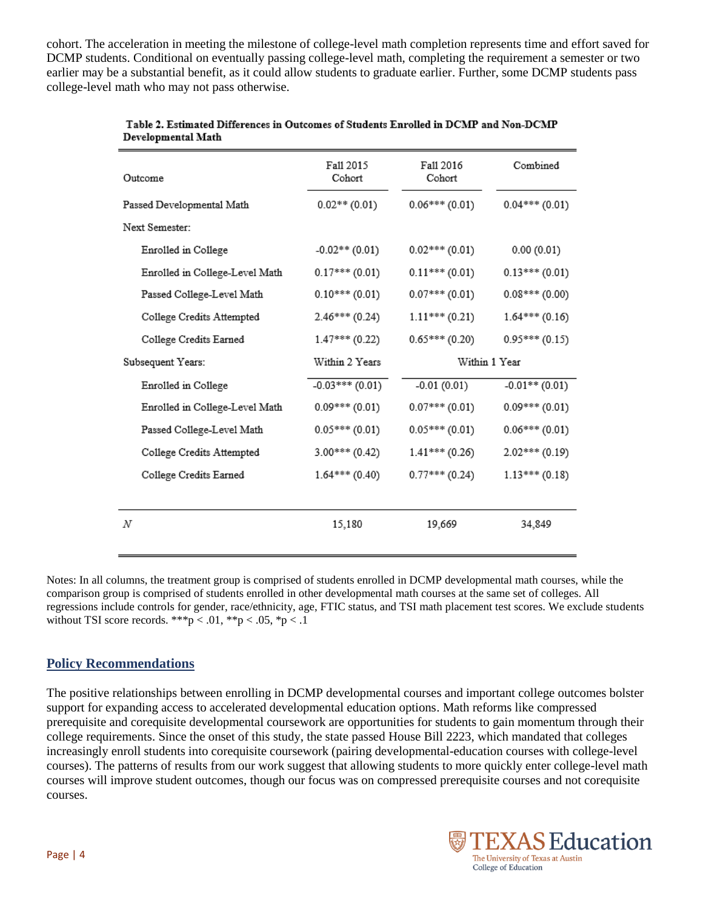cohort. The acceleration in meeting the milestone of college-level math completion represents time and effort saved for DCMP students. Conditional on eventually passing college-level math, completing the requirement a semester or two earlier may be a substantial benefit, as it could allow students to graduate earlier. Further, some DCMP students pass college-level math who may not pass otherwise.

| Outcome                        | Fall 2015<br>Cohort | Fall 2016<br>Cohort | Combined         |
|--------------------------------|---------------------|---------------------|------------------|
| Passed Developmental Math      | $0.02**$ (0.01)     | $0.06***(0.01)$     | $0.04***(0.01)$  |
| Next Semester:                 |                     |                     |                  |
| Enrolled in College            | $-0.02**$ (0.01)    | $0.02***(0.01)$     | 0.00(0.01)       |
| Enrolled in College-Level Math | $0.17***(0.01)$     | $0.11***(0.01)$     | $0.13***(0.01)$  |
| Passed College-Level Math      | $0.10***(0.01)$     | $0.07***(0.01)$     | $0.08***(0.00)$  |
| College Credits Attempted      | $2.46***(0.24)$     | $1.11***(0.21)$     | $1.64***(0.16)$  |
| College Credits Earned         | $1.47***(0.22)$     | $0.65***(0.20)$     | $0.95***(0.15)$  |
| Subsequent Years:              | Within 2 Years      | Within 1 Year       |                  |
| Enrolled in College            | $-0.03***(0.01)$    | $-0.01(0.01)$       | $-0.01**$ (0.01) |
| Enrolled in College-Level Math | $0.09***(0.01)$     | $0.07***(0.01)$     | $0.09***(0.01)$  |
| Passed College-Level Math      | $0.05***(0.01)$     | $0.05***(0.01)$     | $0.06***(0.01)$  |
| College Credits Attempted      | $3.00***(0.42)$     | $1.41***(0.26)$     | $2.02***(0.19)$  |
| College Credits Earned         | $1.64***(0.40)$     | $0.77***(0.24)$     | $1.13***(0.18)$  |
|                                |                     |                     |                  |
| N                              | 15,180              | 19,669              | 34,849           |

#### Table 2. Estimated Differences in Outcomes of Students Enrolled in DCMP and Non-DCMP Developmental Math

Notes: In all columns, the treatment group is comprised of students enrolled in DCMP developmental math courses, while the comparison group is comprised of students enrolled in other developmental math courses at the same set of colleges. All regressions include controls for gender, race/ethnicity, age, FTIC status, and TSI math placement test scores. We exclude students without TSI score records. \*\*\*p < .01, \*\*p < .05, \*p < .1

# **Policy Recommendations**

The positive relationships between enrolling in DCMP developmental courses and important college outcomes bolster support for expanding access to accelerated developmental education options. Math reforms like compressed prerequisite and corequisite developmental coursework are opportunities for students to gain momentum through their college requirements. Since the onset of this study, the state passed House Bill 2223, which mandated that colleges increasingly enroll students into corequisite coursework (pairing developmental-education courses with college-level courses). The patterns of results from our work suggest that allowing students to more quickly enter college-level math courses will improve student outcomes, though our focus was on compressed prerequisite courses and not corequisite courses.